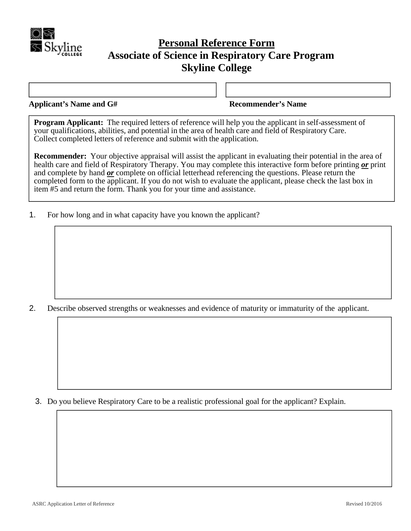

## **Personal Reference Form Associate of Science in Respiratory Care Program Skyline College**

**Applicant's Name and G# Recommender's Name** 

**Program Applicant:** The required letters of reference will help you the applicant in self-assessment of your qualifications, abilities, and potential in the area of health care and field of Respiratory Care. Collect completed letters of reference and submit with the application.

**Recommender:** Your objective appraisal will assist the applicant in evaluating their potential in the area of health care and field of Respiratory Therapy. You may complete this interactive form before printing *or* print and complete by hand *or* complete on official letterhead referencing the questions. Please return the completed form to the applicant. If you do not wish to evaluate the applicant, please check the last box in item #5 and return the form. Thank you for your time and assistance.

1. For how long and in what capacity have you known the applicant?

2. Describe observed strengths or weaknesses and evidence of maturity or immaturity of the applicant.

3. Do you believe Respiratory Care to be a realistic professional goal for the applicant? Explain.